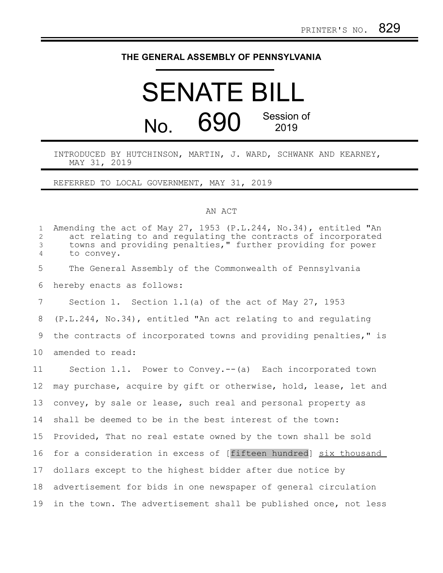## **THE GENERAL ASSEMBLY OF PENNSYLVANIA**

# SENATE BILL No. 690 Session of 2019

#### INTRODUCED BY HUTCHINSON, MARTIN, J. WARD, SCHWANK AND KEARNEY, MAY 31, 2019

## REFERRED TO LOCAL GOVERNMENT, MAY 31, 2019

### AN ACT

| $\mathbf{1}$<br>$\overline{c}$<br>$\mathfrak{Z}$<br>$\overline{4}$ | Amending the act of May 27, 1953 (P.L.244, No.34), entitled "An<br>act relating to and regulating the contracts of incorporated<br>towns and providing penalties," further providing for power<br>to convey. |
|--------------------------------------------------------------------|--------------------------------------------------------------------------------------------------------------------------------------------------------------------------------------------------------------|
| 5                                                                  | The General Assembly of the Commonwealth of Pennsylvania                                                                                                                                                     |
| 6                                                                  | hereby enacts as follows:                                                                                                                                                                                    |
| 7                                                                  | Section 1. Section $1.1(a)$ of the act of May 27, 1953                                                                                                                                                       |
| 8                                                                  | (P.L.244, No.34), entitled "An act relating to and regulating                                                                                                                                                |
| 9                                                                  | the contracts of incorporated towns and providing penalties," is                                                                                                                                             |
| 10                                                                 | amended to read:                                                                                                                                                                                             |
| 11                                                                 | Section 1.1. Power to Convey.--(a) Each incorporated town                                                                                                                                                    |
| 12                                                                 | may purchase, acquire by gift or otherwise, hold, lease, let and                                                                                                                                             |
| 13                                                                 | convey, by sale or lease, such real and personal property as                                                                                                                                                 |
| 14                                                                 | shall be deemed to be in the best interest of the town:                                                                                                                                                      |
| 15                                                                 | Provided, That no real estate owned by the town shall be sold                                                                                                                                                |
| 16                                                                 | for a consideration in excess of [fifteen hundred] six thousand                                                                                                                                              |
| 17                                                                 | dollars except to the highest bidder after due notice by                                                                                                                                                     |
| 18                                                                 | advertisement for bids in one newspaper of general circulation                                                                                                                                               |
| 19                                                                 | in the town. The advertisement shall be published once, not less                                                                                                                                             |